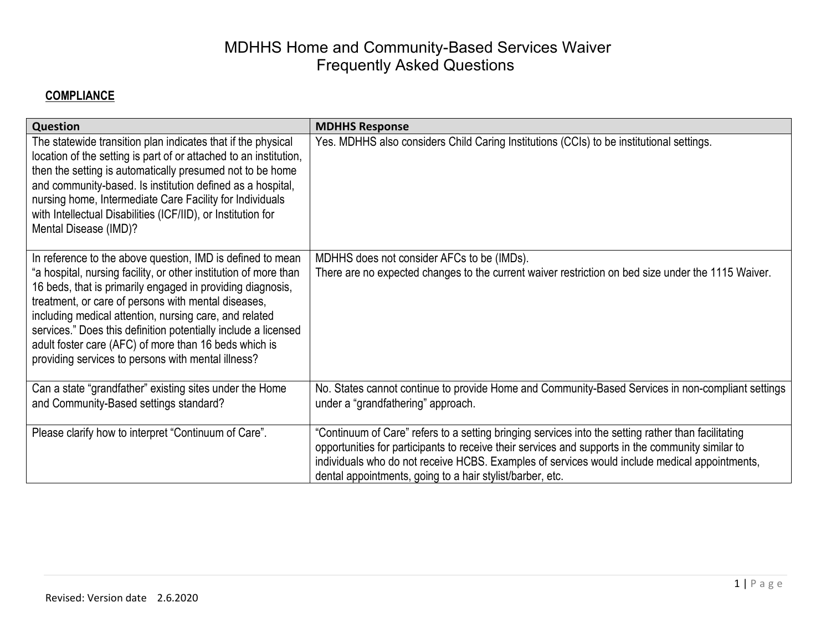| Question                                                                                                                                                                                                                                                                                                                                                                                                                                                                                       | <b>MDHHS Response</b>                                                                                                                                                                                                                                                                                                                                                  |
|------------------------------------------------------------------------------------------------------------------------------------------------------------------------------------------------------------------------------------------------------------------------------------------------------------------------------------------------------------------------------------------------------------------------------------------------------------------------------------------------|------------------------------------------------------------------------------------------------------------------------------------------------------------------------------------------------------------------------------------------------------------------------------------------------------------------------------------------------------------------------|
| The statewide transition plan indicates that if the physical<br>location of the setting is part of or attached to an institution,<br>then the setting is automatically presumed not to be home<br>and community-based. Is institution defined as a hospital,<br>nursing home, Intermediate Care Facility for Individuals<br>with Intellectual Disabilities (ICF/IID), or Institution for<br>Mental Disease (IMD)?                                                                              | Yes. MDHHS also considers Child Caring Institutions (CCIs) to be institutional settings.                                                                                                                                                                                                                                                                               |
| In reference to the above question, IMD is defined to mean<br>"a hospital, nursing facility, or other institution of more than<br>16 beds, that is primarily engaged in providing diagnosis,<br>treatment, or care of persons with mental diseases,<br>including medical attention, nursing care, and related<br>services." Does this definition potentially include a licensed<br>adult foster care (AFC) of more than 16 beds which is<br>providing services to persons with mental illness? | MDHHS does not consider AFCs to be (IMDs).<br>There are no expected changes to the current waiver restriction on bed size under the 1115 Waiver.                                                                                                                                                                                                                       |
| Can a state "grandfather" existing sites under the Home<br>and Community-Based settings standard?                                                                                                                                                                                                                                                                                                                                                                                              | No. States cannot continue to provide Home and Community-Based Services in non-compliant settings<br>under a "grandfathering" approach.                                                                                                                                                                                                                                |
| Please clarify how to interpret "Continuum of Care".                                                                                                                                                                                                                                                                                                                                                                                                                                           | "Continuum of Care" refers to a setting bringing services into the setting rather than facilitating<br>opportunities for participants to receive their services and supports in the community similar to<br>individuals who do not receive HCBS. Examples of services would include medical appointments,<br>dental appointments, going to a hair stylist/barber, etc. |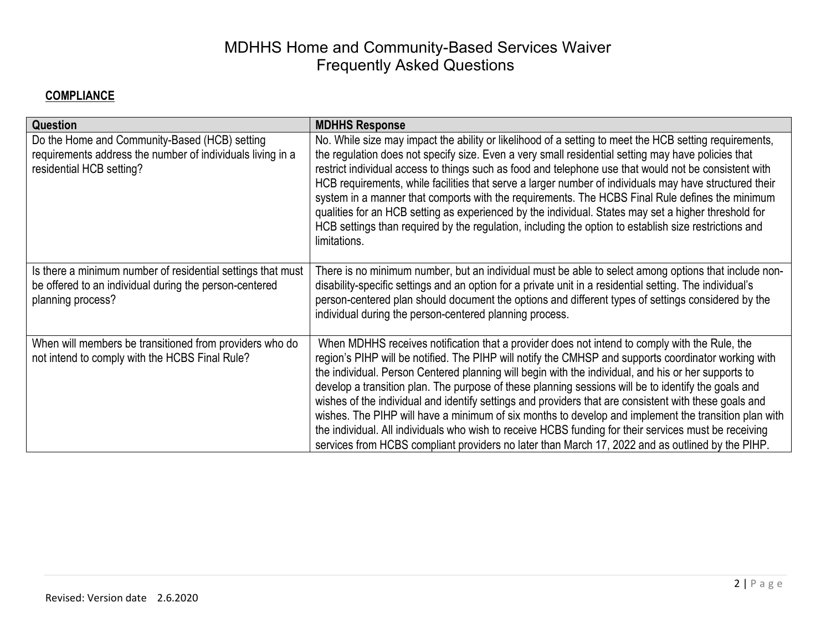| Question                                                                                                                                   | <b>MDHHS Response</b>                                                                                                                                                                                                                                                                                                                                                                                                                                                                                                                                                                                                                                                                                                                                                                                                                             |
|--------------------------------------------------------------------------------------------------------------------------------------------|---------------------------------------------------------------------------------------------------------------------------------------------------------------------------------------------------------------------------------------------------------------------------------------------------------------------------------------------------------------------------------------------------------------------------------------------------------------------------------------------------------------------------------------------------------------------------------------------------------------------------------------------------------------------------------------------------------------------------------------------------------------------------------------------------------------------------------------------------|
| Do the Home and Community-Based (HCB) setting<br>requirements address the number of individuals living in a<br>residential HCB setting?    | No. While size may impact the ability or likelihood of a setting to meet the HCB setting requirements,<br>the regulation does not specify size. Even a very small residential setting may have policies that<br>restrict individual access to things such as food and telephone use that would not be consistent with<br>HCB requirements, while facilities that serve a larger number of individuals may have structured their<br>system in a manner that comports with the requirements. The HCBS Final Rule defines the minimum<br>qualities for an HCB setting as experienced by the individual. States may set a higher threshold for<br>HCB settings than required by the regulation, including the option to establish size restrictions and<br>limitations.                                                                               |
| Is there a minimum number of residential settings that must<br>be offered to an individual during the person-centered<br>planning process? | There is no minimum number, but an individual must be able to select among options that include non-<br>disability-specific settings and an option for a private unit in a residential setting. The individual's<br>person-centered plan should document the options and different types of settings considered by the<br>individual during the person-centered planning process.                                                                                                                                                                                                                                                                                                                                                                                                                                                                 |
| When will members be transitioned from providers who do<br>not intend to comply with the HCBS Final Rule?                                  | When MDHHS receives notification that a provider does not intend to comply with the Rule, the<br>region's PIHP will be notified. The PIHP will notify the CMHSP and supports coordinator working with<br>the individual. Person Centered planning will begin with the individual, and his or her supports to<br>develop a transition plan. The purpose of these planning sessions will be to identify the goals and<br>wishes of the individual and identify settings and providers that are consistent with these goals and<br>wishes. The PIHP will have a minimum of six months to develop and implement the transition plan with<br>the individual. All individuals who wish to receive HCBS funding for their services must be receiving<br>services from HCBS compliant providers no later than March 17, 2022 and as outlined by the PIHP. |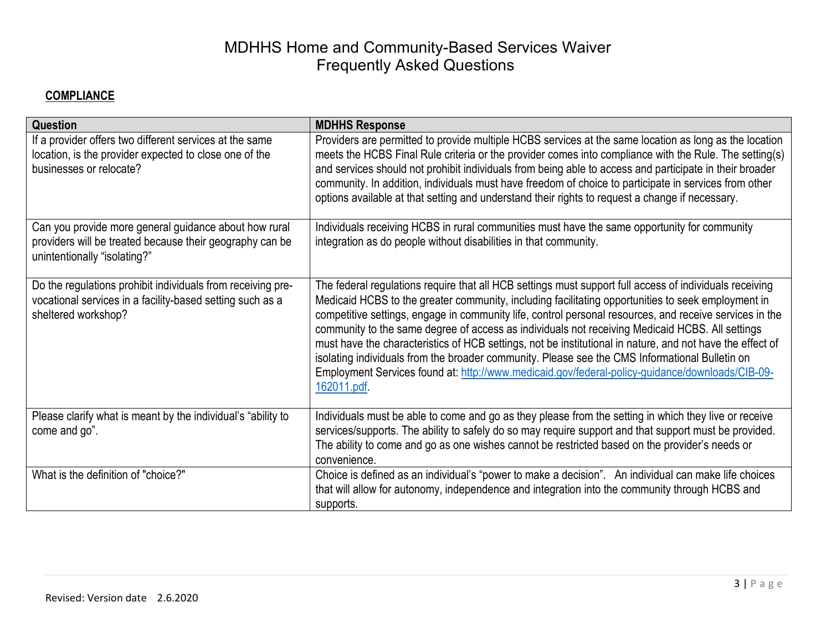| Question                                                                                                                                          | <b>MDHHS Response</b>                                                                                                                                                                                                                                                                                                                                                                                                                                                                                                                                                                                                                                                                                                                                        |
|---------------------------------------------------------------------------------------------------------------------------------------------------|--------------------------------------------------------------------------------------------------------------------------------------------------------------------------------------------------------------------------------------------------------------------------------------------------------------------------------------------------------------------------------------------------------------------------------------------------------------------------------------------------------------------------------------------------------------------------------------------------------------------------------------------------------------------------------------------------------------------------------------------------------------|
| If a provider offers two different services at the same<br>location, is the provider expected to close one of the<br>businesses or relocate?      | Providers are permitted to provide multiple HCBS services at the same location as long as the location<br>meets the HCBS Final Rule criteria or the provider comes into compliance with the Rule. The setting(s)<br>and services should not prohibit individuals from being able to access and participate in their broader<br>community. In addition, individuals must have freedom of choice to participate in services from other<br>options available at that setting and understand their rights to request a change if necessary.                                                                                                                                                                                                                      |
| Can you provide more general guidance about how rural<br>providers will be treated because their geography can be<br>unintentionally "isolating?" | Individuals receiving HCBS in rural communities must have the same opportunity for community<br>integration as do people without disabilities in that community.                                                                                                                                                                                                                                                                                                                                                                                                                                                                                                                                                                                             |
| Do the regulations prohibit individuals from receiving pre-<br>vocational services in a facility-based setting such as a<br>sheltered workshop?   | The federal regulations require that all HCB settings must support full access of individuals receiving<br>Medicaid HCBS to the greater community, including facilitating opportunities to seek employment in<br>competitive settings, engage in community life, control personal resources, and receive services in the<br>community to the same degree of access as individuals not receiving Medicaid HCBS. All settings<br>must have the characteristics of HCB settings, not be institutional in nature, and not have the effect of<br>isolating individuals from the broader community. Please see the CMS Informational Bulletin on<br>Employment Services found at: http://www.medicaid.gov/federal-policy-guidance/downloads/CIB-09-<br>162011.pdf. |
| Please clarify what is meant by the individual's "ability to<br>come and go".                                                                     | Individuals must be able to come and go as they please from the setting in which they live or receive<br>services/supports. The ability to safely do so may require support and that support must be provided.<br>The ability to come and go as one wishes cannot be restricted based on the provider's needs or<br>convenience.                                                                                                                                                                                                                                                                                                                                                                                                                             |
| What is the definition of "choice?"                                                                                                               | Choice is defined as an individual's "power to make a decision". An individual can make life choices<br>that will allow for autonomy, independence and integration into the community through HCBS and<br>supports.                                                                                                                                                                                                                                                                                                                                                                                                                                                                                                                                          |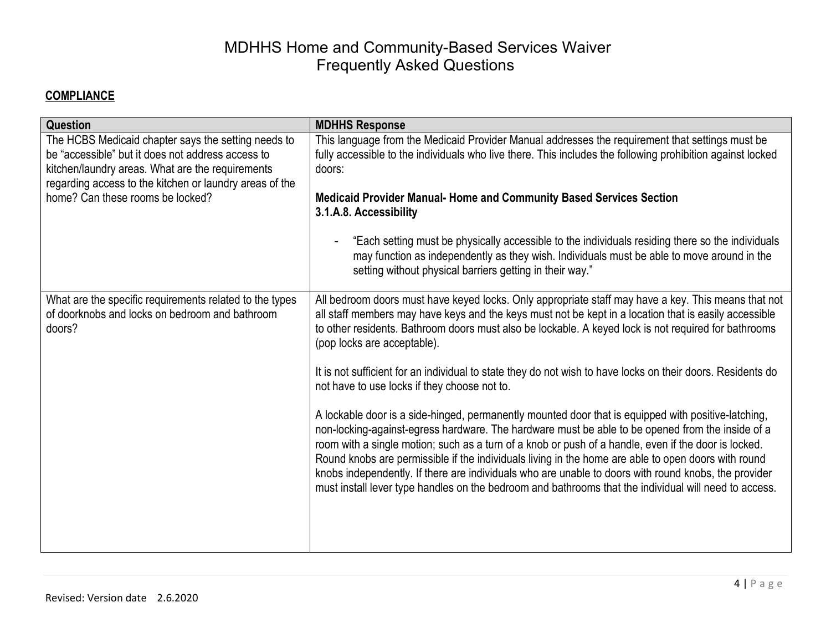| Question                                                                                                                                                                                                                                                    | <b>MDHHS Response</b>                                                                                                                                                                                                                                                                                                                                                                                                                                                                                                                                                                                                                                                                                                                                                                                                                                                                                                                                                                                                                                                                                                                                         |
|-------------------------------------------------------------------------------------------------------------------------------------------------------------------------------------------------------------------------------------------------------------|---------------------------------------------------------------------------------------------------------------------------------------------------------------------------------------------------------------------------------------------------------------------------------------------------------------------------------------------------------------------------------------------------------------------------------------------------------------------------------------------------------------------------------------------------------------------------------------------------------------------------------------------------------------------------------------------------------------------------------------------------------------------------------------------------------------------------------------------------------------------------------------------------------------------------------------------------------------------------------------------------------------------------------------------------------------------------------------------------------------------------------------------------------------|
| The HCBS Medicaid chapter says the setting needs to<br>be "accessible" but it does not address access to<br>kitchen/laundry areas. What are the requirements<br>regarding access to the kitchen or laundry areas of the<br>home? Can these rooms be locked? | This language from the Medicaid Provider Manual addresses the requirement that settings must be<br>fully accessible to the individuals who live there. This includes the following prohibition against locked<br>doors:<br><b>Medicaid Provider Manual- Home and Community Based Services Section</b><br>3.1.A.8. Accessibility<br>"Each setting must be physically accessible to the individuals residing there so the individuals<br>may function as independently as they wish. Individuals must be able to move around in the                                                                                                                                                                                                                                                                                                                                                                                                                                                                                                                                                                                                                             |
|                                                                                                                                                                                                                                                             | setting without physical barriers getting in their way."                                                                                                                                                                                                                                                                                                                                                                                                                                                                                                                                                                                                                                                                                                                                                                                                                                                                                                                                                                                                                                                                                                      |
| What are the specific requirements related to the types<br>of doorknobs and locks on bedroom and bathroom<br>doors?                                                                                                                                         | All bedroom doors must have keyed locks. Only appropriate staff may have a key. This means that not<br>all staff members may have keys and the keys must not be kept in a location that is easily accessible<br>to other residents. Bathroom doors must also be lockable. A keyed lock is not required for bathrooms<br>(pop locks are acceptable).<br>It is not sufficient for an individual to state they do not wish to have locks on their doors. Residents do<br>not have to use locks if they choose not to.<br>A lockable door is a side-hinged, permanently mounted door that is equipped with positive-latching,<br>non-locking-against-egress hardware. The hardware must be able to be opened from the inside of a<br>room with a single motion; such as a turn of a knob or push of a handle, even if the door is locked.<br>Round knobs are permissible if the individuals living in the home are able to open doors with round<br>knobs independently. If there are individuals who are unable to doors with round knobs, the provider<br>must install lever type handles on the bedroom and bathrooms that the individual will need to access. |
|                                                                                                                                                                                                                                                             |                                                                                                                                                                                                                                                                                                                                                                                                                                                                                                                                                                                                                                                                                                                                                                                                                                                                                                                                                                                                                                                                                                                                                               |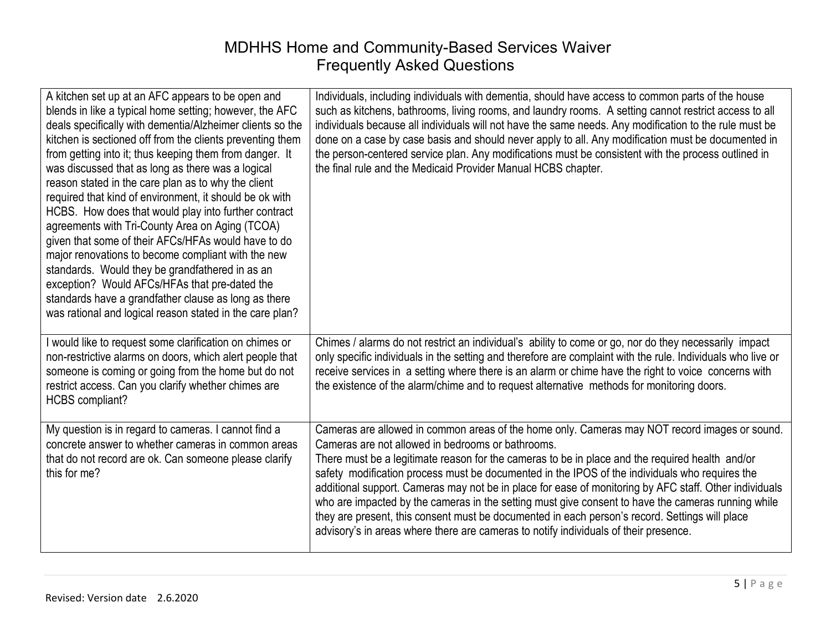| A kitchen set up at an AFC appears to be open and<br>blends in like a typical home setting; however, the AFC<br>deals specifically with dementia/Alzheimer clients so the<br>kitchen is sectioned off from the clients preventing them<br>from getting into it; thus keeping them from danger. It<br>was discussed that as long as there was a logical<br>reason stated in the care plan as to why the client<br>required that kind of environment, it should be ok with<br>HCBS. How does that would play into further contract<br>agreements with Tri-County Area on Aging (TCOA)<br>given that some of their AFCs/HFAs would have to do<br>major renovations to become compliant with the new<br>standards. Would they be grandfathered in as an<br>exception? Would AFCs/HFAs that pre-dated the<br>standards have a grandfather clause as long as there<br>was rational and logical reason stated in the care plan? | Individuals, including individuals with dementia, should have access to common parts of the house<br>such as kitchens, bathrooms, living rooms, and laundry rooms. A setting cannot restrict access to all<br>individuals because all individuals will not have the same needs. Any modification to the rule must be<br>done on a case by case basis and should never apply to all. Any modification must be documented in<br>the person-centered service plan. Any modifications must be consistent with the process outlined in<br>the final rule and the Medicaid Provider Manual HCBS chapter.                                                                                                                                                                |
|--------------------------------------------------------------------------------------------------------------------------------------------------------------------------------------------------------------------------------------------------------------------------------------------------------------------------------------------------------------------------------------------------------------------------------------------------------------------------------------------------------------------------------------------------------------------------------------------------------------------------------------------------------------------------------------------------------------------------------------------------------------------------------------------------------------------------------------------------------------------------------------------------------------------------|-------------------------------------------------------------------------------------------------------------------------------------------------------------------------------------------------------------------------------------------------------------------------------------------------------------------------------------------------------------------------------------------------------------------------------------------------------------------------------------------------------------------------------------------------------------------------------------------------------------------------------------------------------------------------------------------------------------------------------------------------------------------|
| I would like to request some clarification on chimes or<br>non-restrictive alarms on doors, which alert people that<br>someone is coming or going from the home but do not<br>restrict access. Can you clarify whether chimes are<br><b>HCBS</b> compliant?                                                                                                                                                                                                                                                                                                                                                                                                                                                                                                                                                                                                                                                              | Chimes / alarms do not restrict an individual's ability to come or go, nor do they necessarily impact<br>only specific individuals in the setting and therefore are complaint with the rule. Individuals who live or<br>receive services in a setting where there is an alarm or chime have the right to voice concerns with<br>the existence of the alarm/chime and to request alternative methods for monitoring doors.                                                                                                                                                                                                                                                                                                                                         |
| My question is in regard to cameras. I cannot find a<br>concrete answer to whether cameras in common areas<br>that do not record are ok. Can someone please clarify<br>this for me?                                                                                                                                                                                                                                                                                                                                                                                                                                                                                                                                                                                                                                                                                                                                      | Cameras are allowed in common areas of the home only. Cameras may NOT record images or sound.<br>Cameras are not allowed in bedrooms or bathrooms.<br>There must be a legitimate reason for the cameras to be in place and the required health and/or<br>safety modification process must be documented in the IPOS of the individuals who requires the<br>additional support. Cameras may not be in place for ease of monitoring by AFC staff. Other individuals<br>who are impacted by the cameras in the setting must give consent to have the cameras running while<br>they are present, this consent must be documented in each person's record. Settings will place<br>advisory's in areas where there are cameras to notify individuals of their presence. |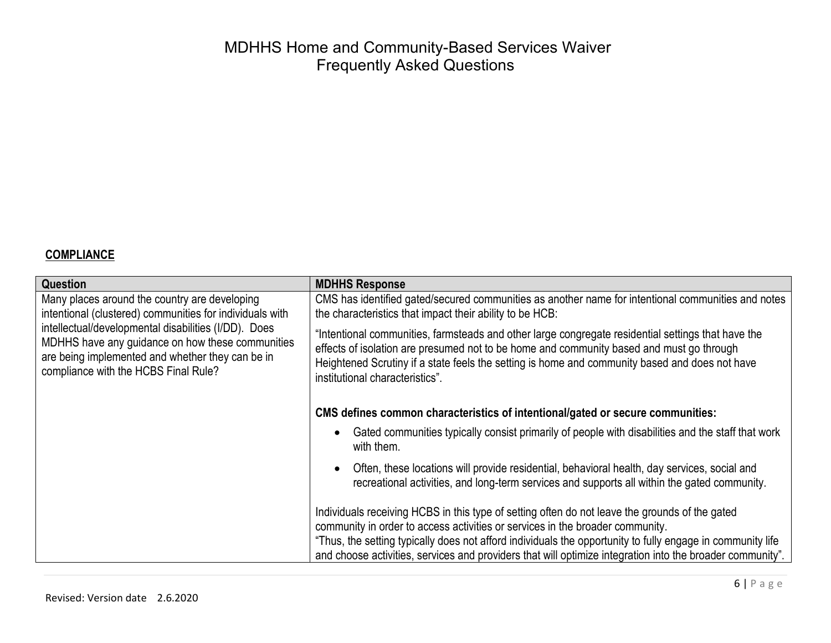| <b>Question</b>                                                                                                                                                                                      | <b>MDHHS Response</b>                                                                                                                                                                                                                                                                                                                                                                                      |
|------------------------------------------------------------------------------------------------------------------------------------------------------------------------------------------------------|------------------------------------------------------------------------------------------------------------------------------------------------------------------------------------------------------------------------------------------------------------------------------------------------------------------------------------------------------------------------------------------------------------|
| Many places around the country are developing<br>intentional (clustered) communities for individuals with                                                                                            | CMS has identified gated/secured communities as another name for intentional communities and notes<br>the characteristics that impact their ability to be HCB:                                                                                                                                                                                                                                             |
| intellectual/developmental disabilities (I/DD). Does<br>MDHHS have any guidance on how these communities<br>are being implemented and whether they can be in<br>compliance with the HCBS Final Rule? | "Intentional communities, farmsteads and other large congregate residential settings that have the<br>effects of isolation are presumed not to be home and community based and must go through<br>Heightened Scrutiny if a state feels the setting is home and community based and does not have<br>institutional characteristics".                                                                        |
|                                                                                                                                                                                                      | CMS defines common characteristics of intentional/gated or secure communities:                                                                                                                                                                                                                                                                                                                             |
|                                                                                                                                                                                                      | Gated communities typically consist primarily of people with disabilities and the staff that work<br>with them.                                                                                                                                                                                                                                                                                            |
|                                                                                                                                                                                                      | Often, these locations will provide residential, behavioral health, day services, social and<br>recreational activities, and long-term services and supports all within the gated community.                                                                                                                                                                                                               |
|                                                                                                                                                                                                      | Individuals receiving HCBS in this type of setting often do not leave the grounds of the gated<br>community in order to access activities or services in the broader community.<br>"Thus, the setting typically does not afford individuals the opportunity to fully engage in community life<br>and choose activities, services and providers that will optimize integration into the broader community". |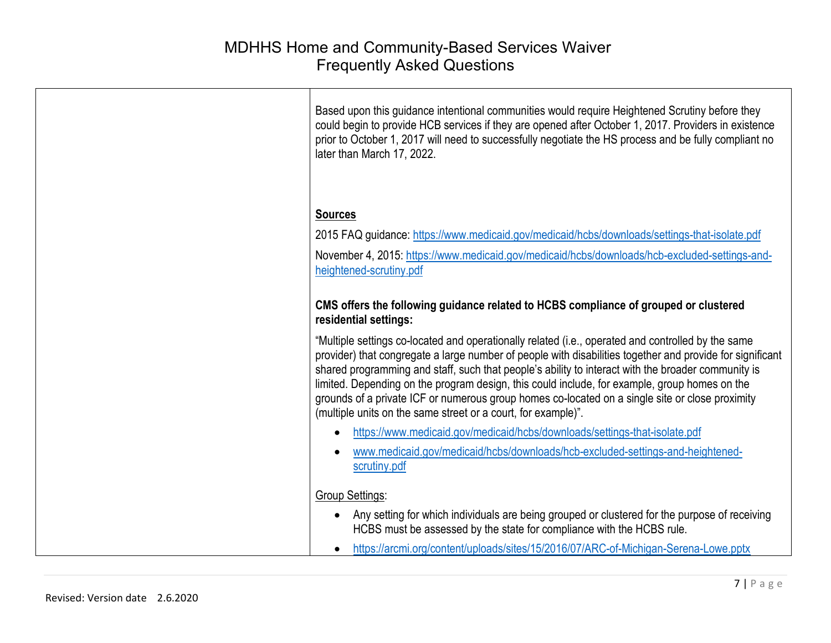| Based upon this guidance intentional communities would require Heightened Scrutiny before they<br>could begin to provide HCB services if they are opened after October 1, 2017. Providers in existence<br>prior to October 1, 2017 will need to successfully negotiate the HS process and be fully compliant no<br>later than March 17, 2022.                                                                                                                                                                                                                                              |
|--------------------------------------------------------------------------------------------------------------------------------------------------------------------------------------------------------------------------------------------------------------------------------------------------------------------------------------------------------------------------------------------------------------------------------------------------------------------------------------------------------------------------------------------------------------------------------------------|
| <b>Sources</b>                                                                                                                                                                                                                                                                                                                                                                                                                                                                                                                                                                             |
| 2015 FAQ guidance: https://www.medicaid.gov/medicaid/hcbs/downloads/settings-that-isolate.pdf                                                                                                                                                                                                                                                                                                                                                                                                                                                                                              |
| November 4, 2015: https://www.medicaid.gov/medicaid/hcbs/downloads/hcb-excluded-settings-and-<br>heightened-scrutiny.pdf                                                                                                                                                                                                                                                                                                                                                                                                                                                                   |
| CMS offers the following guidance related to HCBS compliance of grouped or clustered<br>residential settings:                                                                                                                                                                                                                                                                                                                                                                                                                                                                              |
| "Multiple settings co-located and operationally related (i.e., operated and controlled by the same<br>provider) that congregate a large number of people with disabilities together and provide for significant<br>shared programming and staff, such that people's ability to interact with the broader community is<br>limited. Depending on the program design, this could include, for example, group homes on the<br>grounds of a private ICF or numerous group homes co-located on a single site or close proximity<br>(multiple units on the same street or a court, for example)". |
| https://www.medicaid.gov/medicaid/hcbs/downloads/settings-that-isolate.pdf<br>$\bullet$                                                                                                                                                                                                                                                                                                                                                                                                                                                                                                    |
| www.medicaid.gov/medicaid/hcbs/downloads/hcb-excluded-settings-and-heightened-<br>scrutiny.pdf                                                                                                                                                                                                                                                                                                                                                                                                                                                                                             |
| <b>Group Settings:</b>                                                                                                                                                                                                                                                                                                                                                                                                                                                                                                                                                                     |
| Any setting for which individuals are being grouped or clustered for the purpose of receiving<br>$\bullet$<br>HCBS must be assessed by the state for compliance with the HCBS rule.                                                                                                                                                                                                                                                                                                                                                                                                        |
| https://arcmi.org/content/uploads/sites/15/2016/07/ARC-of-Michigan-Serena-Lowe.pptx<br>$\bullet$                                                                                                                                                                                                                                                                                                                                                                                                                                                                                           |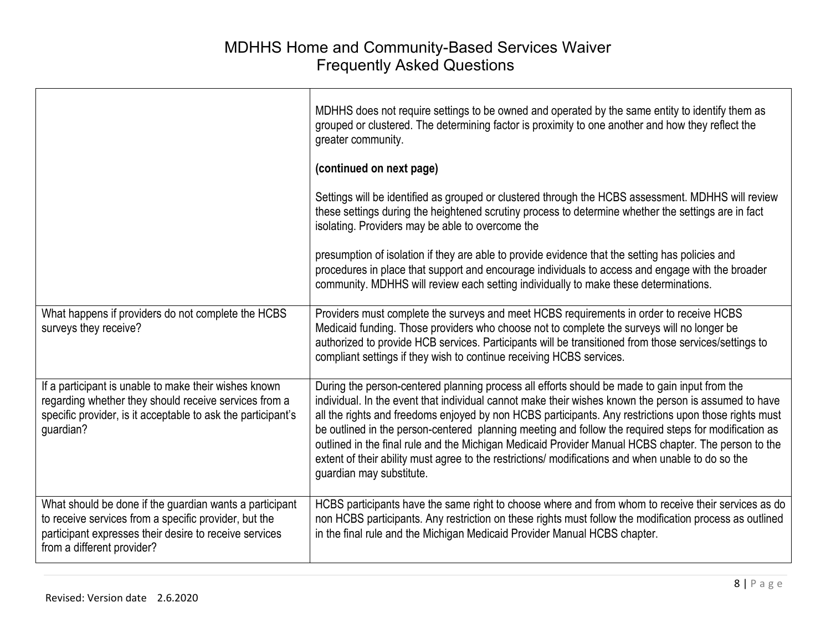|                                                                                                                                                                                                          | MDHHS does not require settings to be owned and operated by the same entity to identify them as<br>grouped or clustered. The determining factor is proximity to one another and how they reflect the<br>greater community.                                                                                                                                                                                                                                                                                                                                                                                                                                         |
|----------------------------------------------------------------------------------------------------------------------------------------------------------------------------------------------------------|--------------------------------------------------------------------------------------------------------------------------------------------------------------------------------------------------------------------------------------------------------------------------------------------------------------------------------------------------------------------------------------------------------------------------------------------------------------------------------------------------------------------------------------------------------------------------------------------------------------------------------------------------------------------|
|                                                                                                                                                                                                          | (continued on next page)                                                                                                                                                                                                                                                                                                                                                                                                                                                                                                                                                                                                                                           |
|                                                                                                                                                                                                          | Settings will be identified as grouped or clustered through the HCBS assessment. MDHHS will review<br>these settings during the heightened scrutiny process to determine whether the settings are in fact<br>isolating. Providers may be able to overcome the                                                                                                                                                                                                                                                                                                                                                                                                      |
|                                                                                                                                                                                                          | presumption of isolation if they are able to provide evidence that the setting has policies and<br>procedures in place that support and encourage individuals to access and engage with the broader<br>community. MDHHS will review each setting individually to make these determinations.                                                                                                                                                                                                                                                                                                                                                                        |
| What happens if providers do not complete the HCBS<br>surveys they receive?                                                                                                                              | Providers must complete the surveys and meet HCBS requirements in order to receive HCBS<br>Medicaid funding. Those providers who choose not to complete the surveys will no longer be<br>authorized to provide HCB services. Participants will be transitioned from those services/settings to<br>compliant settings if they wish to continue receiving HCBS services.                                                                                                                                                                                                                                                                                             |
| If a participant is unable to make their wishes known<br>regarding whether they should receive services from a<br>specific provider, is it acceptable to ask the participant's<br>guardian?              | During the person-centered planning process all efforts should be made to gain input from the<br>individual. In the event that individual cannot make their wishes known the person is assumed to have<br>all the rights and freedoms enjoyed by non HCBS participants. Any restrictions upon those rights must<br>be outlined in the person-centered planning meeting and follow the required steps for modification as<br>outlined in the final rule and the Michigan Medicaid Provider Manual HCBS chapter. The person to the<br>extent of their ability must agree to the restrictions/ modifications and when unable to do so the<br>guardian may substitute. |
| What should be done if the guardian wants a participant<br>to receive services from a specific provider, but the<br>participant expresses their desire to receive services<br>from a different provider? | HCBS participants have the same right to choose where and from whom to receive their services as do<br>non HCBS participants. Any restriction on these rights must follow the modification process as outlined<br>in the final rule and the Michigan Medicaid Provider Manual HCBS chapter.                                                                                                                                                                                                                                                                                                                                                                        |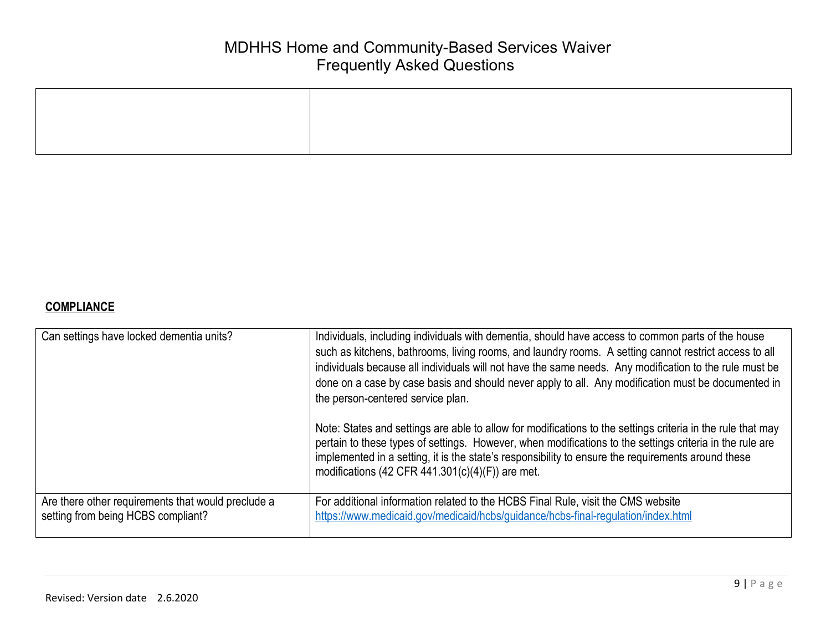| Can settings have locked dementia units?           | Individuals, including individuals with dementia, should have access to common parts of the house<br>such as kitchens, bathrooms, living rooms, and laundry rooms. A setting cannot restrict access to all<br>individuals because all individuals will not have the same needs. Any modification to the rule must be<br>done on a case by case basis and should never apply to all. Any modification must be documented in<br>the person-centered service plan.<br>Note: States and settings are able to allow for modifications to the settings criteria in the rule that may<br>pertain to these types of settings. However, when modifications to the settings criteria in the rule are<br>implemented in a setting, it is the state's responsibility to ensure the requirements around these<br>modifications (42 CFR 441.301(c)(4)(F)) are met. |
|----------------------------------------------------|------------------------------------------------------------------------------------------------------------------------------------------------------------------------------------------------------------------------------------------------------------------------------------------------------------------------------------------------------------------------------------------------------------------------------------------------------------------------------------------------------------------------------------------------------------------------------------------------------------------------------------------------------------------------------------------------------------------------------------------------------------------------------------------------------------------------------------------------------|
| Are there other requirements that would preclude a | For additional information related to the HCBS Final Rule, visit the CMS website                                                                                                                                                                                                                                                                                                                                                                                                                                                                                                                                                                                                                                                                                                                                                                     |
| setting from being HCBS compliant?                 | https://www.medicaid.gov/medicaid/hcbs/guidance/hcbs-final-regulation/index.html                                                                                                                                                                                                                                                                                                                                                                                                                                                                                                                                                                                                                                                                                                                                                                     |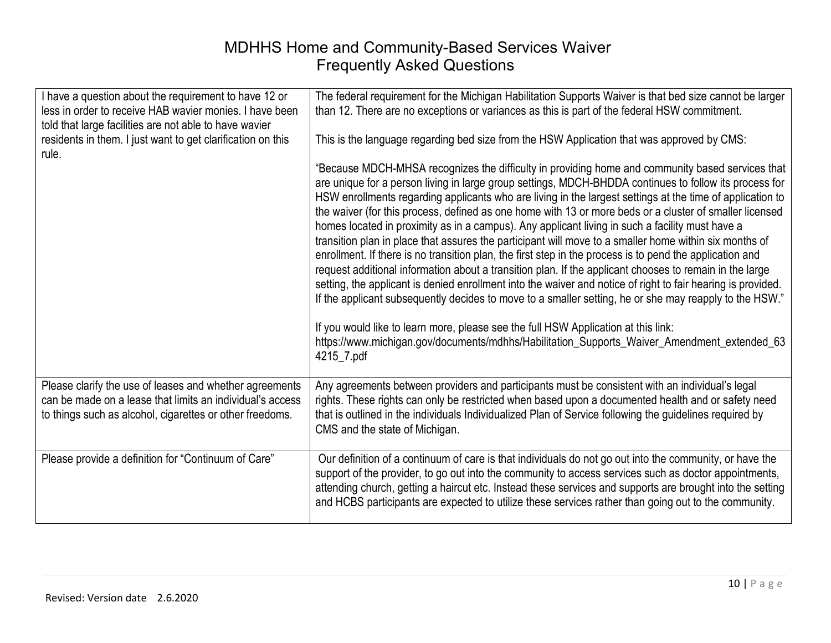| I have a question about the requirement to have 12 or<br>less in order to receive HAB wavier monies. I have been<br>told that large facilities are not able to have wavier | The federal requirement for the Michigan Habilitation Supports Waiver is that bed size cannot be larger<br>than 12. There are no exceptions or variances as this is part of the federal HSW commitment.                                                                                                                                                                                                                                                                                                                                                                                                                                                                                                                                                                                                                                                                                                                                                                                                                                                                                                                                                                                                                                                                                             |
|----------------------------------------------------------------------------------------------------------------------------------------------------------------------------|-----------------------------------------------------------------------------------------------------------------------------------------------------------------------------------------------------------------------------------------------------------------------------------------------------------------------------------------------------------------------------------------------------------------------------------------------------------------------------------------------------------------------------------------------------------------------------------------------------------------------------------------------------------------------------------------------------------------------------------------------------------------------------------------------------------------------------------------------------------------------------------------------------------------------------------------------------------------------------------------------------------------------------------------------------------------------------------------------------------------------------------------------------------------------------------------------------------------------------------------------------------------------------------------------------|
| residents in them. I just want to get clarification on this<br>rule.                                                                                                       | This is the language regarding bed size from the HSW Application that was approved by CMS:                                                                                                                                                                                                                                                                                                                                                                                                                                                                                                                                                                                                                                                                                                                                                                                                                                                                                                                                                                                                                                                                                                                                                                                                          |
|                                                                                                                                                                            | "Because MDCH-MHSA recognizes the difficulty in providing home and community based services that<br>are unique for a person living in large group settings, MDCH-BHDDA continues to follow its process for<br>HSW enrollments regarding applicants who are living in the largest settings at the time of application to<br>the waiver (for this process, defined as one home with 13 or more beds or a cluster of smaller licensed<br>homes located in proximity as in a campus). Any applicant living in such a facility must have a<br>transition plan in place that assures the participant will move to a smaller home within six months of<br>enrollment. If there is no transition plan, the first step in the process is to pend the application and<br>request additional information about a transition plan. If the applicant chooses to remain in the large<br>setting, the applicant is denied enrollment into the waiver and notice of right to fair hearing is provided.<br>If the applicant subsequently decides to move to a smaller setting, he or she may reapply to the HSW."<br>If you would like to learn more, please see the full HSW Application at this link:<br>https://www.michigan.gov/documents/mdhhs/Habilitation_Supports_Waiver_Amendment_extended_63<br>4215_7.pdf |
| Please clarify the use of leases and whether agreements                                                                                                                    | Any agreements between providers and participants must be consistent with an individual's legal                                                                                                                                                                                                                                                                                                                                                                                                                                                                                                                                                                                                                                                                                                                                                                                                                                                                                                                                                                                                                                                                                                                                                                                                     |
| can be made on a lease that limits an individual's access<br>to things such as alcohol, cigarettes or other freedoms.                                                      | rights. These rights can only be restricted when based upon a documented health and or safety need<br>that is outlined in the individuals Individualized Plan of Service following the guidelines required by<br>CMS and the state of Michigan.                                                                                                                                                                                                                                                                                                                                                                                                                                                                                                                                                                                                                                                                                                                                                                                                                                                                                                                                                                                                                                                     |
| Please provide a definition for "Continuum of Care"                                                                                                                        | Our definition of a continuum of care is that individuals do not go out into the community, or have the<br>support of the provider, to go out into the community to access services such as doctor appointments,<br>attending church, getting a haircut etc. Instead these services and supports are brought into the setting<br>and HCBS participants are expected to utilize these services rather than going out to the community.                                                                                                                                                                                                                                                                                                                                                                                                                                                                                                                                                                                                                                                                                                                                                                                                                                                               |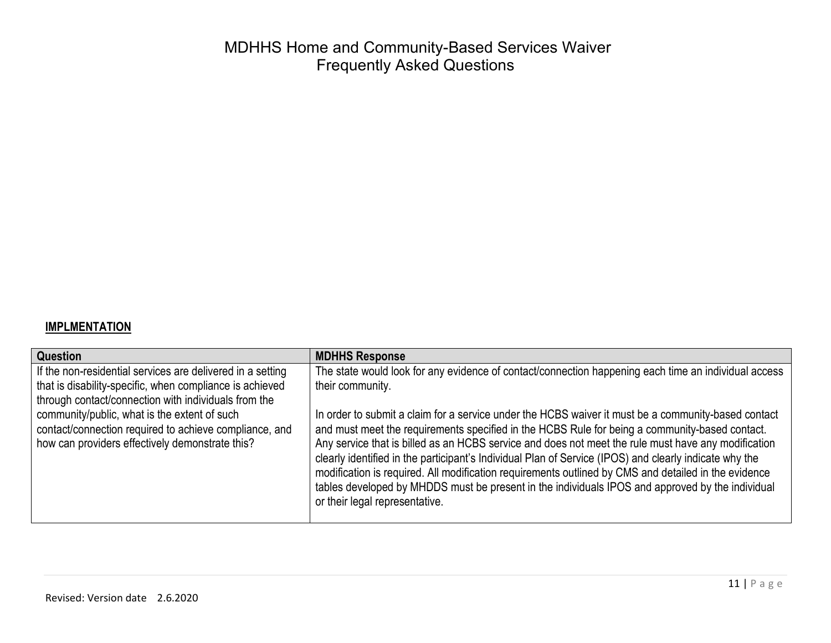#### **IMPLMENTATION**

| <b>MDHHS Response</b>                                                                                                              |
|------------------------------------------------------------------------------------------------------------------------------------|
| The state would look for any evidence of contact/connection happening each time an individual access                               |
| their community.                                                                                                                   |
|                                                                                                                                    |
| In order to submit a claim for a service under the HCBS waiver it must be a community-based contact                                |
| and must meet the requirements specified in the HCBS Rule for being a community-based contact.                                     |
| Any service that is billed as an HCBS service and does not meet the rule must have any modification                                |
| clearly identified in the participant's Individual Plan of Service (IPOS) and clearly indicate why the                             |
| modification is required. All modification requirements outlined by CMS and detailed in the evidence                               |
| tables developed by MHDDS must be present in the individuals IPOS and approved by the individual<br>or their legal representative. |
|                                                                                                                                    |
|                                                                                                                                    |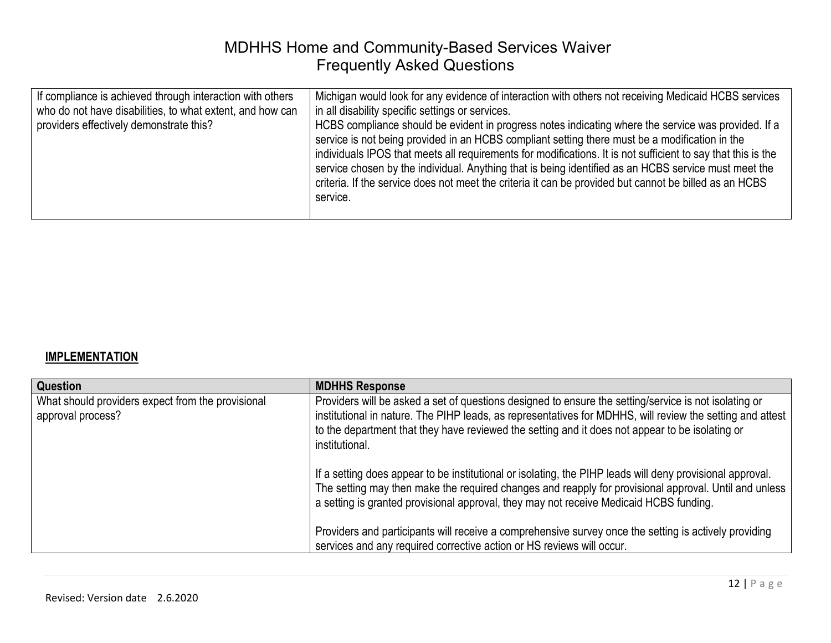| If compliance is achieved through interaction with others<br>who do not have disabilities, to what extent, and how can<br>providers effectively demonstrate this?<br>service. | Michigan would look for any evidence of interaction with others not receiving Medicaid HCBS services<br>in all disability specific settings or services.<br>HCBS compliance should be evident in progress notes indicating where the service was provided. If a<br>service is not being provided in an HCBS compliant setting there must be a modification in the<br>individuals IPOS that meets all requirements for modifications. It is not sufficient to say that this is the<br>service chosen by the individual. Anything that is being identified as an HCBS service must meet the<br>criteria. If the service does not meet the criteria it can be provided but cannot be billed as an HCBS |
|-------------------------------------------------------------------------------------------------------------------------------------------------------------------------------|-----------------------------------------------------------------------------------------------------------------------------------------------------------------------------------------------------------------------------------------------------------------------------------------------------------------------------------------------------------------------------------------------------------------------------------------------------------------------------------------------------------------------------------------------------------------------------------------------------------------------------------------------------------------------------------------------------|
|-------------------------------------------------------------------------------------------------------------------------------------------------------------------------------|-----------------------------------------------------------------------------------------------------------------------------------------------------------------------------------------------------------------------------------------------------------------------------------------------------------------------------------------------------------------------------------------------------------------------------------------------------------------------------------------------------------------------------------------------------------------------------------------------------------------------------------------------------------------------------------------------------|

#### **IMPLEMENTATION**

| Question                                                               | <b>MDHHS Response</b>                                                                                                                                                                                                                                                                                                                   |
|------------------------------------------------------------------------|-----------------------------------------------------------------------------------------------------------------------------------------------------------------------------------------------------------------------------------------------------------------------------------------------------------------------------------------|
| What should providers expect from the provisional<br>approval process? | Providers will be asked a set of questions designed to ensure the setting/service is not isolating or<br>institutional in nature. The PIHP leads, as representatives for MDHHS, will review the setting and attest<br>to the department that they have reviewed the setting and it does not appear to be isolating or<br>institutional. |
|                                                                        | If a setting does appear to be institutional or isolating, the PIHP leads will deny provisional approval.<br>The setting may then make the required changes and reapply for provisional approval. Until and unless<br>a setting is granted provisional approval, they may not receive Medicaid HCBS funding.                            |
|                                                                        | Providers and participants will receive a comprehensive survey once the setting is actively providing<br>services and any required corrective action or HS reviews will occur.                                                                                                                                                          |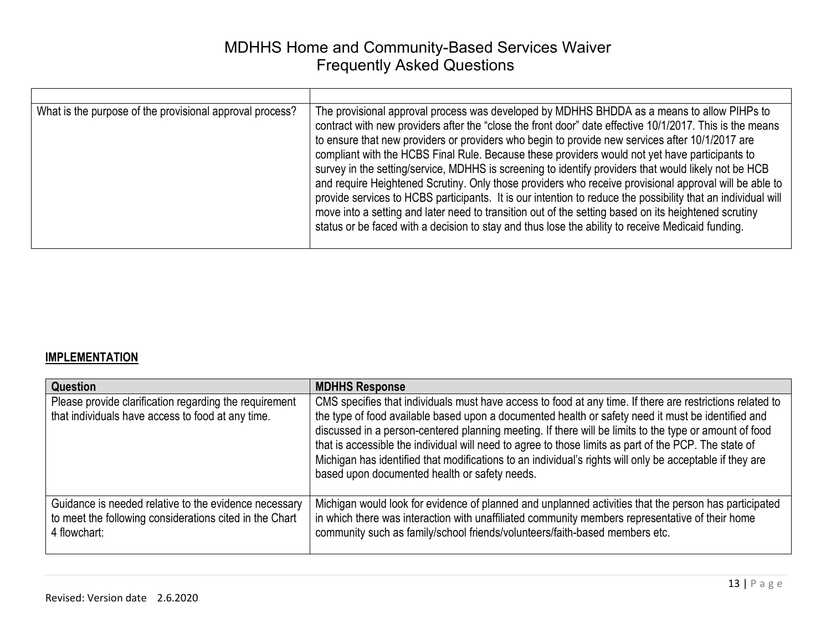| What is the purpose of the provisional approval process? | The provisional approval process was developed by MDHHS BHDDA as a means to allow PIHPs to<br>contract with new providers after the "close the front door" date effective 10/1/2017. This is the means<br>to ensure that new providers or providers who begin to provide new services after 10/1/2017 are<br>compliant with the HCBS Final Rule. Because these providers would not yet have participants to<br>survey in the setting/service, MDHHS is screening to identify providers that would likely not be HCB<br>and require Heightened Scrutiny. Only those providers who receive provisional approval will be able to<br>provide services to HCBS participants. It is our intention to reduce the possibility that an individual will<br>move into a setting and later need to transition out of the setting based on its heightened scrutiny<br>status or be faced with a decision to stay and thus lose the ability to receive Medicaid funding. |
|----------------------------------------------------------|------------------------------------------------------------------------------------------------------------------------------------------------------------------------------------------------------------------------------------------------------------------------------------------------------------------------------------------------------------------------------------------------------------------------------------------------------------------------------------------------------------------------------------------------------------------------------------------------------------------------------------------------------------------------------------------------------------------------------------------------------------------------------------------------------------------------------------------------------------------------------------------------------------------------------------------------------------|

#### **IMPLEMENTATION**

| Question                                                                                                                         | <b>MDHHS Response</b>                                                                                                                                                                                                                                                                                                                                                                                                                                                                                                                                                                           |
|----------------------------------------------------------------------------------------------------------------------------------|-------------------------------------------------------------------------------------------------------------------------------------------------------------------------------------------------------------------------------------------------------------------------------------------------------------------------------------------------------------------------------------------------------------------------------------------------------------------------------------------------------------------------------------------------------------------------------------------------|
| Please provide clarification regarding the requirement<br>that individuals have access to food at any time.                      | CMS specifies that individuals must have access to food at any time. If there are restrictions related to<br>the type of food available based upon a documented health or safety need it must be identified and<br>discussed in a person-centered planning meeting. If there will be limits to the type or amount of food<br>that is accessible the individual will need to agree to those limits as part of the PCP. The state of<br>Michigan has identified that modifications to an individual's rights will only be acceptable if they are<br>based upon documented health or safety needs. |
| Guidance is needed relative to the evidence necessary<br>to meet the following considerations cited in the Chart<br>4 flowchart: | Michigan would look for evidence of planned and unplanned activities that the person has participated<br>in which there was interaction with unaffiliated community members representative of their home<br>community such as family/school friends/volunteers/faith-based members etc.                                                                                                                                                                                                                                                                                                         |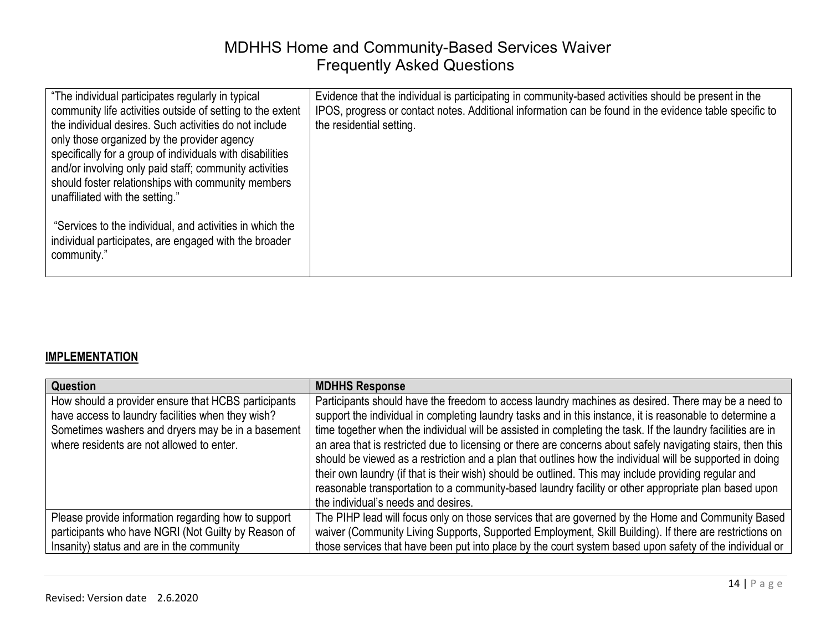| "The individual participates regularly in typical                                                                                                                                                                                                                                                                                      | Evidence that the individual is participating in community-based activities should be present in the   |
|----------------------------------------------------------------------------------------------------------------------------------------------------------------------------------------------------------------------------------------------------------------------------------------------------------------------------------------|--------------------------------------------------------------------------------------------------------|
| community life activities outside of setting to the extent                                                                                                                                                                                                                                                                             | IPOS, progress or contact notes. Additional information can be found in the evidence table specific to |
| the individual desires. Such activities do not include                                                                                                                                                                                                                                                                                 | the residential setting.                                                                               |
|                                                                                                                                                                                                                                                                                                                                        |                                                                                                        |
|                                                                                                                                                                                                                                                                                                                                        |                                                                                                        |
|                                                                                                                                                                                                                                                                                                                                        |                                                                                                        |
|                                                                                                                                                                                                                                                                                                                                        |                                                                                                        |
|                                                                                                                                                                                                                                                                                                                                        |                                                                                                        |
|                                                                                                                                                                                                                                                                                                                                        |                                                                                                        |
|                                                                                                                                                                                                                                                                                                                                        |                                                                                                        |
|                                                                                                                                                                                                                                                                                                                                        |                                                                                                        |
| individual participates, are engaged with the broader                                                                                                                                                                                                                                                                                  |                                                                                                        |
|                                                                                                                                                                                                                                                                                                                                        |                                                                                                        |
|                                                                                                                                                                                                                                                                                                                                        |                                                                                                        |
| only those organized by the provider agency<br>specifically for a group of individuals with disabilities<br>and/or involving only paid staff; community activities<br>should foster relationships with community members<br>unaffiliated with the setting."<br>"Services to the individual, and activities in which the<br>community." |                                                                                                        |

#### **IMPLEMENTATION**

| Question                                                                                                                                                                                                   | <b>MDHHS Response</b>                                                                                                                                                                                                                                                                                                                                                                                                                                                                                                                                                                                                                                                                                                                                                                                           |
|------------------------------------------------------------------------------------------------------------------------------------------------------------------------------------------------------------|-----------------------------------------------------------------------------------------------------------------------------------------------------------------------------------------------------------------------------------------------------------------------------------------------------------------------------------------------------------------------------------------------------------------------------------------------------------------------------------------------------------------------------------------------------------------------------------------------------------------------------------------------------------------------------------------------------------------------------------------------------------------------------------------------------------------|
| How should a provider ensure that HCBS participants<br>have access to laundry facilities when they wish?<br>Sometimes washers and dryers may be in a basement<br>where residents are not allowed to enter. | Participants should have the freedom to access laundry machines as desired. There may be a need to<br>support the individual in completing laundry tasks and in this instance, it is reasonable to determine a<br>time together when the individual will be assisted in completing the task. If the laundry facilities are in<br>an area that is restricted due to licensing or there are concerns about safely navigating stairs, then this<br>should be viewed as a restriction and a plan that outlines how the individual will be supported in doing<br>their own laundry (if that is their wish) should be outlined. This may include providing regular and<br>reasonable transportation to a community-based laundry facility or other appropriate plan based upon<br>the individual's needs and desires. |
| Please provide information regarding how to support                                                                                                                                                        | The PIHP lead will focus only on those services that are governed by the Home and Community Based                                                                                                                                                                                                                                                                                                                                                                                                                                                                                                                                                                                                                                                                                                               |
| participants who have NGRI (Not Guilty by Reason of                                                                                                                                                        | waiver (Community Living Supports, Supported Employment, Skill Building). If there are restrictions on                                                                                                                                                                                                                                                                                                                                                                                                                                                                                                                                                                                                                                                                                                          |
| Insanity) status and are in the community                                                                                                                                                                  | those services that have been put into place by the court system based upon safety of the individual or                                                                                                                                                                                                                                                                                                                                                                                                                                                                                                                                                                                                                                                                                                         |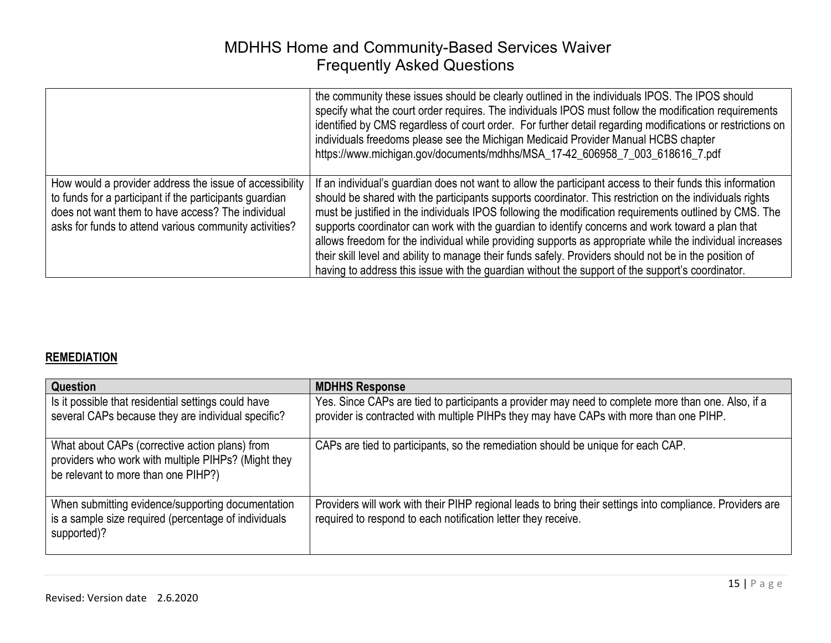|                                                                                                                                                                                                                                   | the community these issues should be clearly outlined in the individuals IPOS. The IPOS should<br>specify what the court order requires. The individuals IPOS must follow the modification requirements<br>identified by CMS regardless of court order. For further detail regarding modifications or restrictions on<br>individuals freedoms please see the Michigan Medicaid Provider Manual HCBS chapter<br>https://www.michigan.gov/documents/mdhhs/MSA_17-42_606958_7_003_618616_7.pdf                                                                                                                                                                                                                                                                  |
|-----------------------------------------------------------------------------------------------------------------------------------------------------------------------------------------------------------------------------------|--------------------------------------------------------------------------------------------------------------------------------------------------------------------------------------------------------------------------------------------------------------------------------------------------------------------------------------------------------------------------------------------------------------------------------------------------------------------------------------------------------------------------------------------------------------------------------------------------------------------------------------------------------------------------------------------------------------------------------------------------------------|
| How would a provider address the issue of accessibility<br>to funds for a participant if the participants guardian<br>does not want them to have access? The individual<br>asks for funds to attend various community activities? | If an individual's guardian does not want to allow the participant access to their funds this information<br>should be shared with the participants supports coordinator. This restriction on the individuals rights<br>must be justified in the individuals IPOS following the modification requirements outlined by CMS. The<br>supports coordinator can work with the guardian to identify concerns and work toward a plan that<br>allows freedom for the individual while providing supports as appropriate while the individual increases<br>their skill level and ability to manage their funds safely. Providers should not be in the position of<br>having to address this issue with the guardian without the support of the support's coordinator. |

#### **REMEDIATION**

| Question                                                                                                                                     | <b>MDHHS Response</b>                                                                                                                                                                        |
|----------------------------------------------------------------------------------------------------------------------------------------------|----------------------------------------------------------------------------------------------------------------------------------------------------------------------------------------------|
| Is it possible that residential settings could have<br>several CAPs because they are individual specific?                                    | Yes. Since CAPs are tied to participants a provider may need to complete more than one. Also, if a<br>provider is contracted with multiple PIHPs they may have CAPs with more than one PIHP. |
| What about CAPs (corrective action plans) from<br>providers who work with multiple PIHPs? (Might they<br>be relevant to more than one PIHP?) | CAPs are tied to participants, so the remediation should be unique for each CAP.                                                                                                             |
| When submitting evidence/supporting documentation<br>is a sample size required (percentage of individuals<br>supported)?                     | Providers will work with their PIHP regional leads to bring their settings into compliance. Providers are<br>required to respond to each notification letter they receive.                   |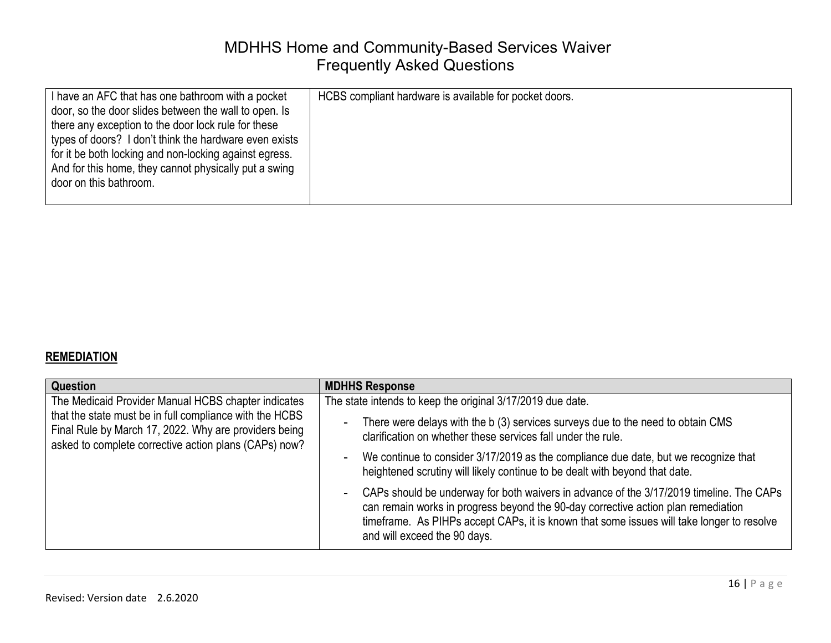| I have an AFC that has one bathroom with a pocket                                                                                                                      | HCBS compliant hardware is available for pocket doors. |
|------------------------------------------------------------------------------------------------------------------------------------------------------------------------|--------------------------------------------------------|
| door, so the door slides between the wall to open. Is<br>there any exception to the door lock rule for these<br>types of doors? I don't think the hardware even exists |                                                        |
| for it be both locking and non-locking against egress.<br>And for this home, they cannot physically put a swing<br>door on this bathroom.                              |                                                        |

#### **REMEDIATION**

| Question                                                                                                                                                                  | <b>MDHHS Response</b>                                                                                                                                                                                                                                                                                     |
|---------------------------------------------------------------------------------------------------------------------------------------------------------------------------|-----------------------------------------------------------------------------------------------------------------------------------------------------------------------------------------------------------------------------------------------------------------------------------------------------------|
| The Medicaid Provider Manual HCBS chapter indicates                                                                                                                       | The state intends to keep the original 3/17/2019 due date.                                                                                                                                                                                                                                                |
| that the state must be in full compliance with the HCBS<br>Final Rule by March 17, 2022. Why are providers being<br>asked to complete corrective action plans (CAPs) now? | There were delays with the b (3) services surveys due to the need to obtain CMS<br>clarification on whether these services fall under the rule.                                                                                                                                                           |
|                                                                                                                                                                           | We continue to consider 3/17/2019 as the compliance due date, but we recognize that<br>heightened scrutiny will likely continue to be dealt with beyond that date.                                                                                                                                        |
|                                                                                                                                                                           | CAPs should be underway for both waivers in advance of the 3/17/2019 timeline. The CAPs<br>can remain works in progress beyond the 90-day corrective action plan remediation<br>timeframe. As PIHPs accept CAPs, it is known that some issues will take longer to resolve<br>and will exceed the 90 days. |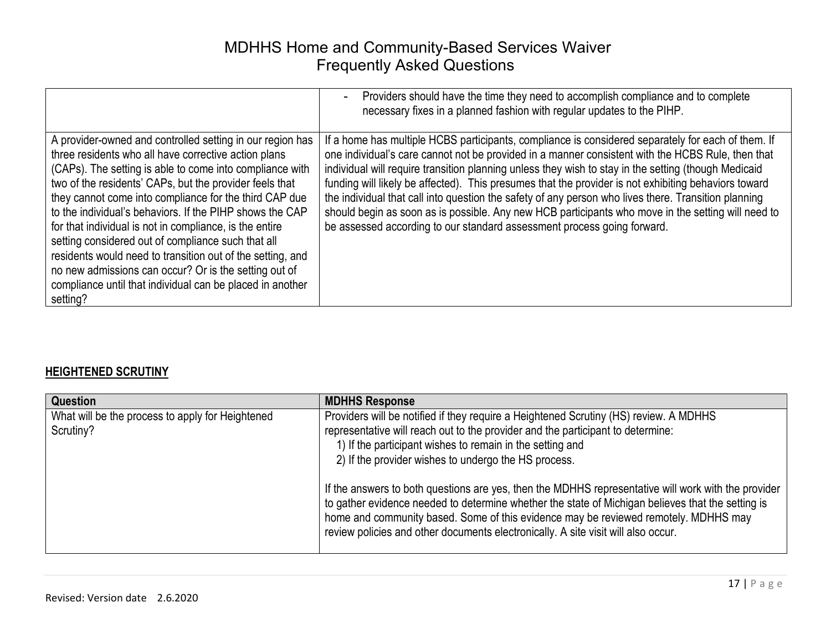|                                                                                                                                                                                                                                                                                                                                                                                                                                                                                                                                                                                                                                                                                 | Providers should have the time they need to accomplish compliance and to complete<br>necessary fixes in a planned fashion with regular updates to the PIHP.                                                                                                                                                                                                                                                                                                                                                                                                                                                                                                                                                      |
|---------------------------------------------------------------------------------------------------------------------------------------------------------------------------------------------------------------------------------------------------------------------------------------------------------------------------------------------------------------------------------------------------------------------------------------------------------------------------------------------------------------------------------------------------------------------------------------------------------------------------------------------------------------------------------|------------------------------------------------------------------------------------------------------------------------------------------------------------------------------------------------------------------------------------------------------------------------------------------------------------------------------------------------------------------------------------------------------------------------------------------------------------------------------------------------------------------------------------------------------------------------------------------------------------------------------------------------------------------------------------------------------------------|
| A provider-owned and controlled setting in our region has<br>three residents who all have corrective action plans<br>(CAPs). The setting is able to come into compliance with<br>two of the residents' CAPs, but the provider feels that<br>they cannot come into compliance for the third CAP due<br>to the individual's behaviors. If the PIHP shows the CAP<br>for that individual is not in compliance, is the entire<br>setting considered out of compliance such that all<br>residents would need to transition out of the setting, and<br>no new admissions can occur? Or is the setting out of<br>compliance until that individual can be placed in another<br>setting? | If a home has multiple HCBS participants, compliance is considered separately for each of them. If<br>one individual's care cannot not be provided in a manner consistent with the HCBS Rule, then that<br>individual will require transition planning unless they wish to stay in the setting (though Medicaid<br>funding will likely be affected). This presumes that the provider is not exhibiting behaviors toward<br>the individual that call into question the safety of any person who lives there. Transition planning<br>should begin as soon as is possible. Any new HCB participants who move in the setting will need to<br>be assessed according to our standard assessment process going forward. |

#### **HEIGHTENED SCRUTINY**

| <b>Question</b>                                               | <b>MDHHS Response</b>                                                                                                                                                                                                                                                                                                                                                                                                                                                                                                                                                                                                                                                                 |
|---------------------------------------------------------------|---------------------------------------------------------------------------------------------------------------------------------------------------------------------------------------------------------------------------------------------------------------------------------------------------------------------------------------------------------------------------------------------------------------------------------------------------------------------------------------------------------------------------------------------------------------------------------------------------------------------------------------------------------------------------------------|
| What will be the process to apply for Heightened<br>Scrutiny? | Providers will be notified if they require a Heightened Scrutiny (HS) review. A MDHHS<br>representative will reach out to the provider and the participant to determine:<br>1) If the participant wishes to remain in the setting and<br>2) If the provider wishes to undergo the HS process.<br>If the answers to both questions are yes, then the MDHHS representative will work with the provider<br>to gather evidence needed to determine whether the state of Michigan believes that the setting is<br>home and community based. Some of this evidence may be reviewed remotely. MDHHS may<br>review policies and other documents electronically. A site visit will also occur. |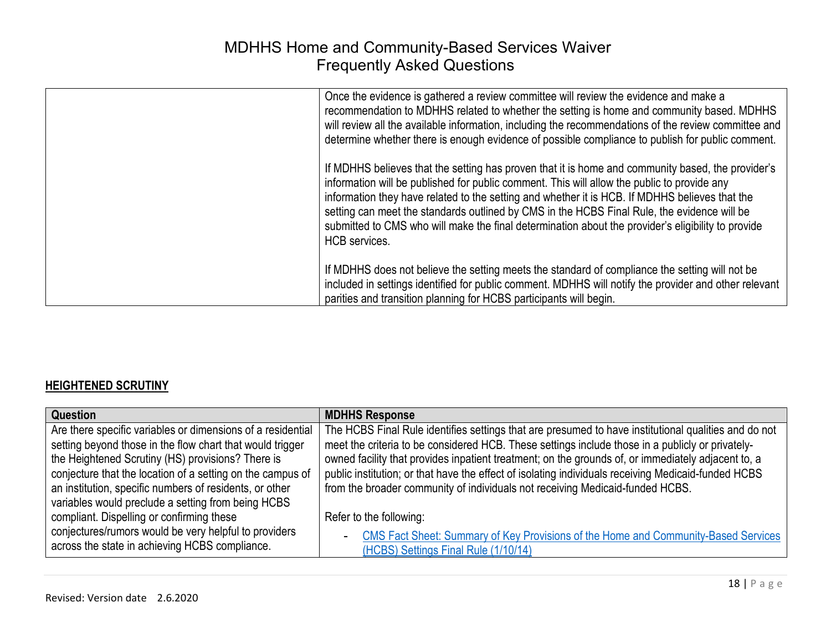| Once the evidence is gathered a review committee will review the evidence and make a<br>recommendation to MDHHS related to whether the setting is home and community based. MDHHS<br>will review all the available information, including the recommendations of the review committee and<br>determine whether there is enough evidence of possible compliance to publish for public comment.                                                                                                                                   |
|---------------------------------------------------------------------------------------------------------------------------------------------------------------------------------------------------------------------------------------------------------------------------------------------------------------------------------------------------------------------------------------------------------------------------------------------------------------------------------------------------------------------------------|
| If MDHHS believes that the setting has proven that it is home and community based, the provider's<br>information will be published for public comment. This will allow the public to provide any<br>information they have related to the setting and whether it is HCB. If MDHHS believes that the<br>setting can meet the standards outlined by CMS in the HCBS Final Rule, the evidence will be<br>submitted to CMS who will make the final determination about the provider's eligibility to provide<br><b>HCB</b> services. |
| If MDHHS does not believe the setting meets the standard of compliance the setting will not be<br>included in settings identified for public comment. MDHHS will notify the provider and other relevant<br>parities and transition planning for HCBS participants will begin.                                                                                                                                                                                                                                                   |

#### **HEIGHTENED SCRUTINY**

| Question                                                                                                                                                                                                                                    | <b>MDHHS Response</b>                                                                                                                                                                                                                                                                                                                                                                                                 |
|---------------------------------------------------------------------------------------------------------------------------------------------------------------------------------------------------------------------------------------------|-----------------------------------------------------------------------------------------------------------------------------------------------------------------------------------------------------------------------------------------------------------------------------------------------------------------------------------------------------------------------------------------------------------------------|
| Are there specific variables or dimensions of a residential<br>setting beyond those in the flow chart that would trigger<br>the Heightened Scrutiny (HS) provisions? There is<br>conjecture that the location of a setting on the campus of | The HCBS Final Rule identifies settings that are presumed to have institutional qualities and do not<br>meet the criteria to be considered HCB. These settings include those in a publicly or privately-<br>owned facility that provides inpatient treatment; on the grounds of, or immediately adjacent to, a<br>public institution; or that have the effect of isolating individuals receiving Medicaid-funded HCBS |
| an institution, specific numbers of residents, or other<br>variables would preclude a setting from being HCBS                                                                                                                               | from the broader community of individuals not receiving Medicaid-funded HCBS.                                                                                                                                                                                                                                                                                                                                         |
| compliant. Dispelling or confirming these                                                                                                                                                                                                   | Refer to the following:                                                                                                                                                                                                                                                                                                                                                                                               |
| conjectures/rumors would be very helpful to providers<br>across the state in achieving HCBS compliance.                                                                                                                                     | CMS Fact Sheet: Summary of Key Provisions of the Home and Community-Based Services<br>$\sim$<br>(HCBS) Settings Final Rule (1/10/14)                                                                                                                                                                                                                                                                                  |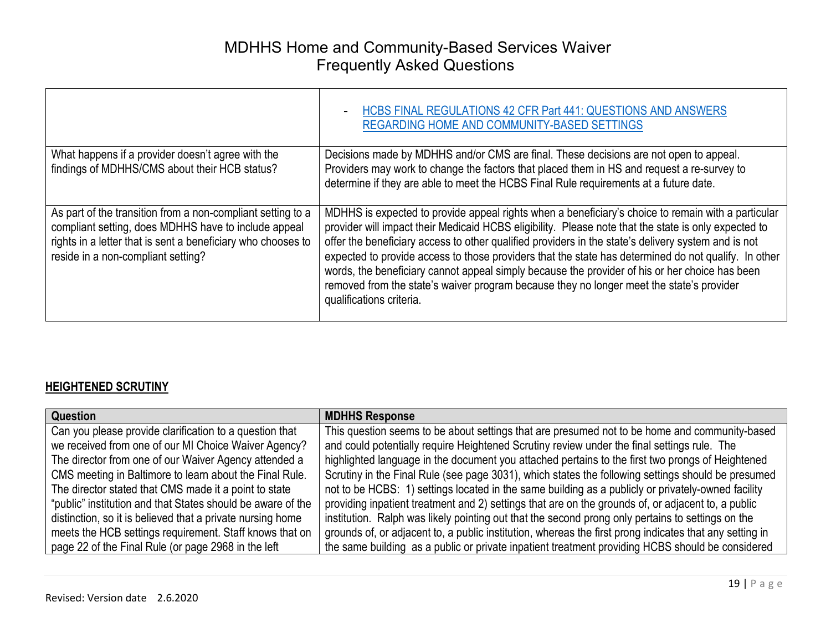|                                                                                                                                                                                                                           | <b>HCBS FINAL REGULATIONS 42 CFR Part 441: QUESTIONS AND ANSWERS</b><br><b>REGARDING HOME AND COMMUNITY-BASED SETTINGS</b>                                                                                                                                                                                                                                                                                                                                                                                                                                                                                                                          |
|---------------------------------------------------------------------------------------------------------------------------------------------------------------------------------------------------------------------------|-----------------------------------------------------------------------------------------------------------------------------------------------------------------------------------------------------------------------------------------------------------------------------------------------------------------------------------------------------------------------------------------------------------------------------------------------------------------------------------------------------------------------------------------------------------------------------------------------------------------------------------------------------|
| What happens if a provider doesn't agree with the<br>findings of MDHHS/CMS about their HCB status?                                                                                                                        | Decisions made by MDHHS and/or CMS are final. These decisions are not open to appeal.<br>Providers may work to change the factors that placed them in HS and request a re-survey to<br>determine if they are able to meet the HCBS Final Rule requirements at a future date.                                                                                                                                                                                                                                                                                                                                                                        |
| As part of the transition from a non-compliant setting to a<br>compliant setting, does MDHHS have to include appeal<br>rights in a letter that is sent a beneficiary who chooses to<br>reside in a non-compliant setting? | MDHHS is expected to provide appeal rights when a beneficiary's choice to remain with a particular<br>provider will impact their Medicaid HCBS eligibility. Please note that the state is only expected to<br>offer the beneficiary access to other qualified providers in the state's delivery system and is not<br>expected to provide access to those providers that the state has determined do not qualify. In other<br>words, the beneficiary cannot appeal simply because the provider of his or her choice has been<br>removed from the state's waiver program because they no longer meet the state's provider<br>qualifications criteria. |

#### **HEIGHTENED SCRUTINY**

| <b>Question</b>                                             | <b>MDHHS Response</b>                                                                                   |
|-------------------------------------------------------------|---------------------------------------------------------------------------------------------------------|
| Can you please provide clarification to a question that     | This question seems to be about settings that are presumed not to be home and community-based           |
| we received from one of our MI Choice Waiver Agency?        | and could potentially require Heightened Scrutiny review under the final settings rule. The             |
| The director from one of our Waiver Agency attended a       | highlighted language in the document you attached pertains to the first two prongs of Heightened        |
| CMS meeting in Baltimore to learn about the Final Rule.     | Scrutiny in the Final Rule (see page 3031), which states the following settings should be presumed      |
| The director stated that CMS made it a point to state       | not to be HCBS: 1) settings located in the same building as a publicly or privately-owned facility      |
| "public" institution and that States should be aware of the | providing inpatient treatment and 2) settings that are on the grounds of, or adjacent to, a public      |
| distinction, so it is believed that a private nursing home  | institution. Ralph was likely pointing out that the second prong only pertains to settings on the       |
| meets the HCB settings requirement. Staff knows that on     | grounds of, or adjacent to, a public institution, whereas the first prong indicates that any setting in |
| page 22 of the Final Rule (or page 2968 in the left         | the same building as a public or private inpatient treatment providing HCBS should be considered        |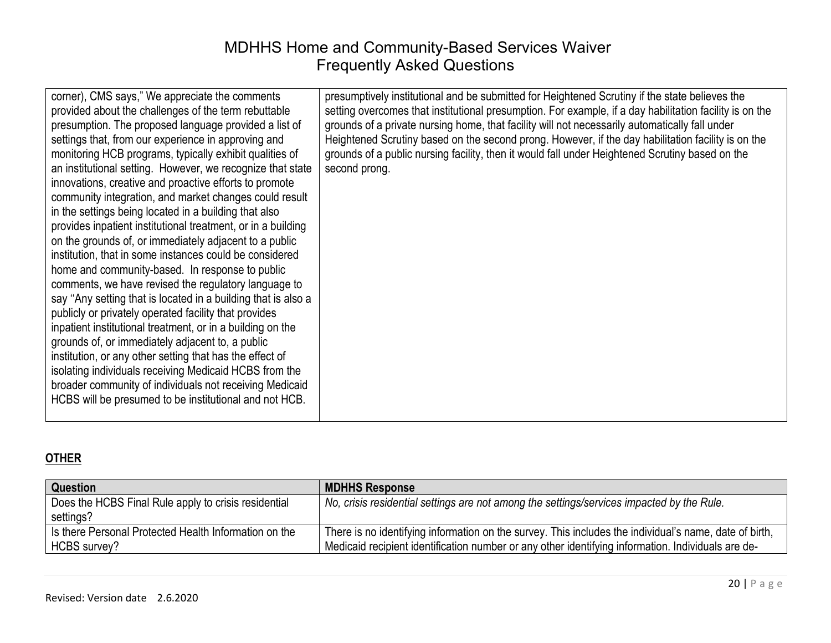| corner), CMS says," We appreciate the comments<br>provided about the challenges of the term rebuttable<br>presumption. The proposed language provided a list of<br>settings that, from our experience in approving and<br>monitoring HCB programs, typically exhibit qualities of<br>an institutional setting. However, we recognize that state<br>innovations, creative and proactive efforts to promote<br>community integration, and market changes could result<br>in the settings being located in a building that also<br>provides inpatient institutional treatment, or in a building<br>on the grounds of, or immediately adjacent to a public<br>institution, that in some instances could be considered<br>home and community-based. In response to public<br>comments, we have revised the regulatory language to<br>say "Any setting that is located in a building that is also a<br>publicly or privately operated facility that provides<br>inpatient institutional treatment, or in a building on the<br>grounds of, or immediately adjacent to, a public<br>institution, or any other setting that has the effect of<br>isolating individuals receiving Medicaid HCBS from the<br>broader community of individuals not receiving Medicaid<br>HCBS will be presumed to be institutional and not HCB. | presumptively institutional and be submitted for Heightened Scrutiny if the state believes the<br>setting overcomes that institutional presumption. For example, if a day habilitation facility is on the<br>grounds of a private nursing home, that facility will not necessarily automatically fall under<br>Heightened Scrutiny based on the second prong. However, if the day habilitation facility is on the<br>grounds of a public nursing facility, then it would fall under Heightened Scrutiny based on the<br>second prong. |
|---------------------------------------------------------------------------------------------------------------------------------------------------------------------------------------------------------------------------------------------------------------------------------------------------------------------------------------------------------------------------------------------------------------------------------------------------------------------------------------------------------------------------------------------------------------------------------------------------------------------------------------------------------------------------------------------------------------------------------------------------------------------------------------------------------------------------------------------------------------------------------------------------------------------------------------------------------------------------------------------------------------------------------------------------------------------------------------------------------------------------------------------------------------------------------------------------------------------------------------------------------------------------------------------------------------------|---------------------------------------------------------------------------------------------------------------------------------------------------------------------------------------------------------------------------------------------------------------------------------------------------------------------------------------------------------------------------------------------------------------------------------------------------------------------------------------------------------------------------------------|
|---------------------------------------------------------------------------------------------------------------------------------------------------------------------------------------------------------------------------------------------------------------------------------------------------------------------------------------------------------------------------------------------------------------------------------------------------------------------------------------------------------------------------------------------------------------------------------------------------------------------------------------------------------------------------------------------------------------------------------------------------------------------------------------------------------------------------------------------------------------------------------------------------------------------------------------------------------------------------------------------------------------------------------------------------------------------------------------------------------------------------------------------------------------------------------------------------------------------------------------------------------------------------------------------------------------------|---------------------------------------------------------------------------------------------------------------------------------------------------------------------------------------------------------------------------------------------------------------------------------------------------------------------------------------------------------------------------------------------------------------------------------------------------------------------------------------------------------------------------------------|

#### **OTHER**

| <b>Question</b>                                       | <b>MDHHS Response</b>                                                                                  |
|-------------------------------------------------------|--------------------------------------------------------------------------------------------------------|
| Does the HCBS Final Rule apply to crisis residential  | No, crisis residential settings are not among the settings/services impacted by the Rule.              |
| settings?                                             |                                                                                                        |
| Is there Personal Protected Health Information on the | There is no identifying information on the survey. This includes the individual's name, date of birth, |
| HCBS survey?                                          | Medicaid recipient identification number or any other identifying information. Individuals are de-     |